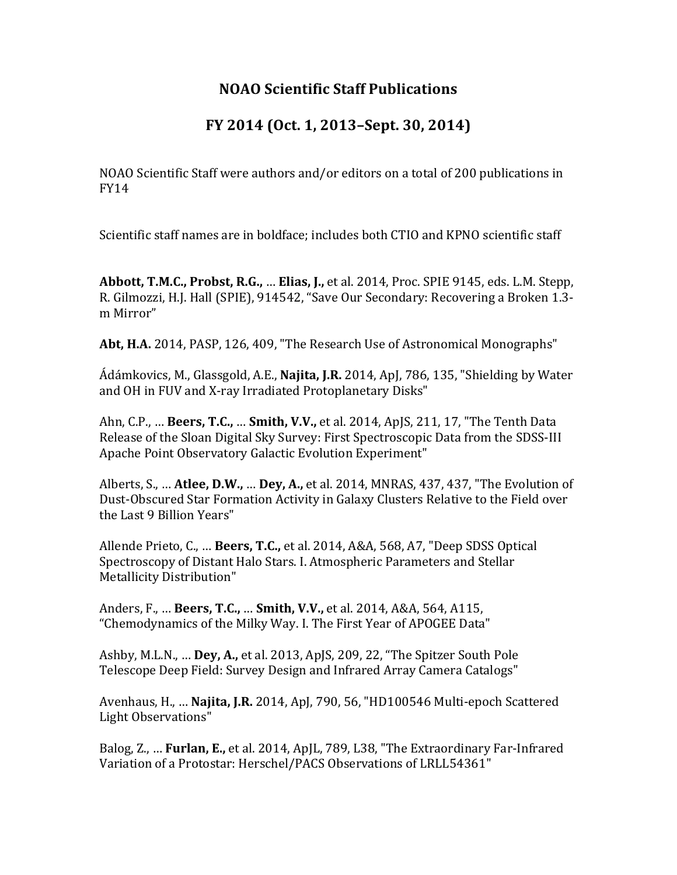## **NOAO Scientific Staff Publications**

## **FY 2014 (Oct. 1, 2013–Sept. 30, 2014)**

NOAO Scientific Staff were authors and/or editors on a total of 200 publications in FY14

Scientific staff names are in boldface; includes both CTIO and KPNO scientific staff

**Abbott, T.M.C., Probst, R.G., ... Elias, J.,** et al. 2014, Proc. SPIE 9145, eds. L.M. Stepp, R. Gilmozzi, H.J. Hall (SPIE), 914542, "Save Our Secondary: Recovering a Broken 1.3m Mirror"

Abt, H.A. 2014, PASP, 126, 409, "The Research Use of Astronomical Monographs"

Ádámkovics, M., Glassgold, A.E., **Najita, J.R.** 2014, ApJ, 786, 135, "Shielding by Water and OH in FUV and X-ray Irradiated Protoplanetary Disks"

Ahn, C.P., ... **Beers, T.C., ... Smith, V.V.,** et al. 2014, ApJS, 211, 17, "The Tenth Data Release of the Sloan Digital Sky Survey: First Spectroscopic Data from the SDSS-III Apache Point Observatory Galactic Evolution Experiment"

Alberts, S., ... **Atlee, D.W., ... Dey, A.,** et al. 2014, MNRAS, 437, 437, "The Evolution of Dust-Obscured Star Formation Activity in Galaxy Clusters Relative to the Field over the Last 9 Billion Years"

Allende Prieto, C., ... **Beers, T.C.,** et al. 2014, A&A, 568, A7, "Deep SDSS Optical Spectroscopy of Distant Halo Stars. I. Atmospheric Parameters and Stellar Metallicity Distribution"

Anders, F., ... **Beers, T.C., ... Smith, V.V.,** et al. 2014, A&A, 564, A115, "Chemodynamics of the Milky Way. I. The First Year of APOGEE Data"

Ashby, M.L.N., ... **Dey, A.,** et al. 2013, ApJS, 209, 22, "The Spitzer South Pole Telescope Deep Field: Survey Design and Infrared Array Camera Catalogs"

Avenhaus, H., ... **Najita, J.R.** 2014, ApJ, 790, 56, "HD100546 Multi-epoch Scattered Light Observations"

Balog, Z., ... **Furlan, E.,** et al. 2014, ApJL, 789, L38, "The Extraordinary Far-Infrared Variation of a Protostar: Herschel/PACS Observations of LRLL54361"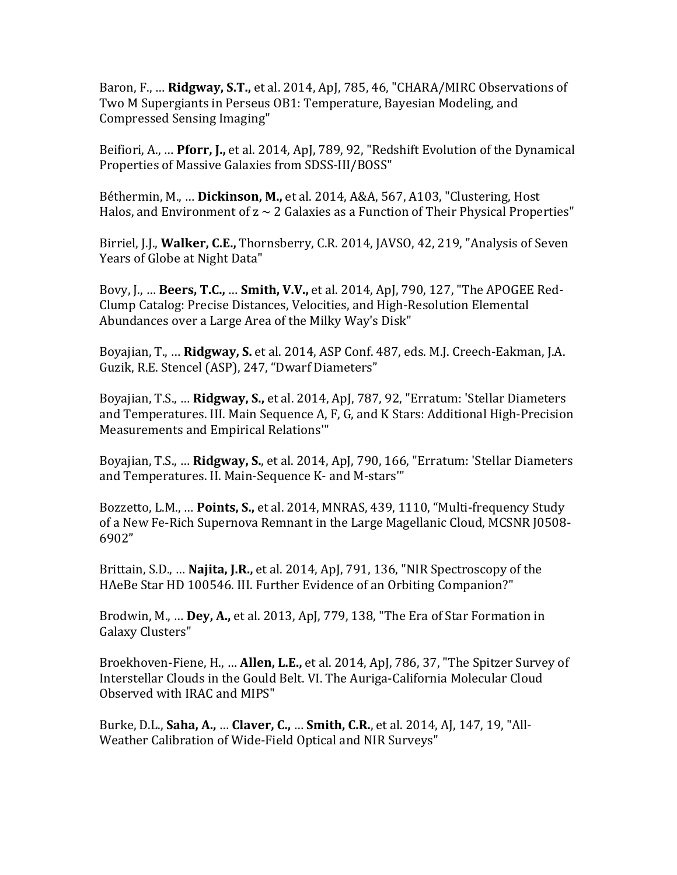Baron, F., ... **Ridgway, S.T.,** et al. 2014, ApJ, 785, 46, "CHARA/MIRC Observations of Two M Supergiants in Perseus OB1: Temperature, Bayesian Modeling, and Compressed Sensing Imaging"

Beifiori, A., ... **Pforr, J.,** et al. 2014, ApJ, 789, 92, "Redshift Evolution of the Dynamical Properties of Massive Galaxies from SDSS-III/BOSS"

Béthermin, M., ... **Dickinson, M.,** et al. 2014, A&A, 567, A103, "Clustering, Host Halos, and Environment of  $z \sim 2$  Galaxies as a Function of Their Physical Properties"

Birriel, J.J., **Walker, C.E.,** Thornsberry, C.R. 2014, JAVSO, 42, 219, "Analysis of Seven Years of Globe at Night Data"

Bovy, J., ... **Beers, T.C., ... Smith, V.V.,** et al. 2014, ApJ, 790, 127, "The APOGEE Red-Clump Catalog: Precise Distances, Velocities, and High-Resolution Elemental Abundances over a Large Area of the Milky Way's Disk"

Boyajian, T., ... **Ridgway, S.** et al. 2014, ASP Conf. 487, eds. M.J. Creech-Eakman, J.A. Guzik, R.E. Stencel (ASP), 247, "Dwarf Diameters"

Boyajian, T.S., ... **Ridgway, S.,** et al. 2014, ApJ, 787, 92, "Erratum: 'Stellar Diameters and Temperatures. III. Main Sequence A, F, G, and K Stars: Additional High-Precision Measurements and Empirical Relations"

Boyajian, T.S., ... Ridgway, S., et al. 2014, ApJ, 790, 166, "Erratum: 'Stellar Diameters and Temperatures. II. Main-Sequence K- and M-stars'"

Bozzetto, L.M., ... Points, S., et al. 2014, MNRAS, 439, 1110, "Multi-frequency Study of a New Fe-Rich Supernova Remnant in the Large Magellanic Cloud, MCSNR J0508-6902"

Brittain, S.D., ... **Najita, J.R.,** et al. 2014, ApJ, 791, 136, "NIR Spectroscopy of the HAeBe Star HD 100546. III. Further Evidence of an Orbiting Companion?"

Brodwin, M., ... **Dey, A.,** et al. 2013, ApJ, 779, 138, "The Era of Star Formation in Galaxy Clusters"

Broekhoven-Fiene, H., ... **Allen, L.E.,** et al. 2014, ApJ, 786, 37, "The Spitzer Survey of Interstellar Clouds in the Gould Belt. VI. The Auriga-California Molecular Cloud Observed with IRAC and MIPS"

Burke, D.L., **Saha, A., ... Claver, C., ... Smith, C.R.**, et al. 2014, AJ, 147, 19, "All-Weather Calibration of Wide-Field Optical and NIR Surveys"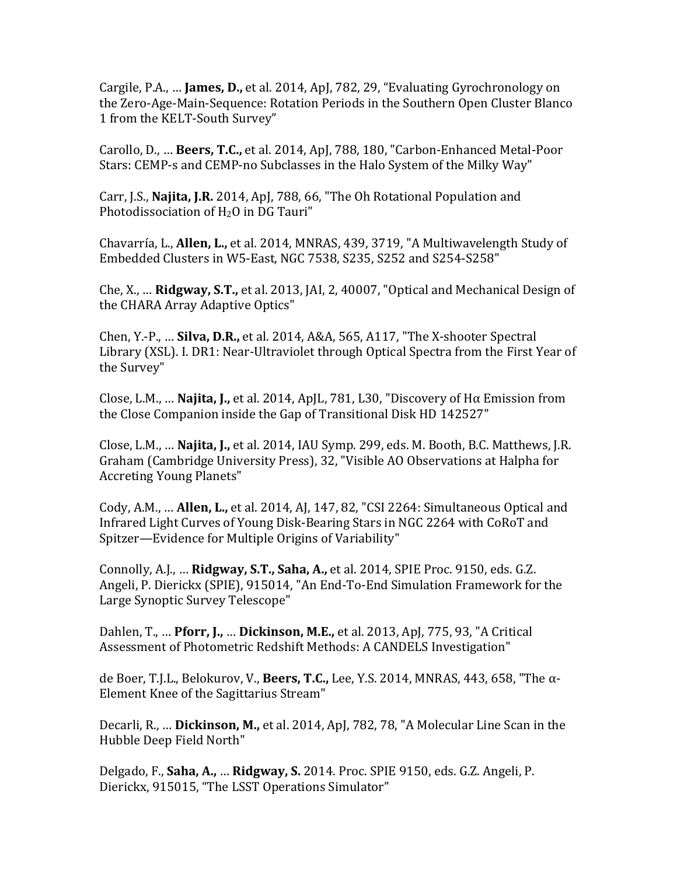Cargile, P.A., ... **James, D.,** et al. 2014, ApJ, 782, 29, "Evaluating Gyrochronology on the Zero-Age-Main-Sequence: Rotation Periods in the Southern Open Cluster Blanco 1 from the KELT-South Survey"

Carollo, D., ... **Beers, T.C.,** et al. 2014, ApJ, 788, 180, "Carbon-Enhanced Metal-Poor Stars: CEMP-s and CEMP-no Subclasses in the Halo System of the Milky Way"

Carr, J.S., **Najita, J.R.** 2014, ApJ, 788, 66, "The Oh Rotational Population and Photodissociation of  $H<sub>2</sub>O$  in DG Tauri"

Chavarría, L., **Allen, L.,** et al. 2014, MNRAS, 439, 3719, "A Multiwavelength Study of Embedded Clusters in W5-East, NGC 7538, S235, S252 and S254-S258"

Che, X., ... **Ridgway, S.T.,** et al. 2013, JAI, 2, 40007, "Optical and Mechanical Design of the CHARA Array Adaptive Optics"

Chen, Y.-P., ... **Silva, D.R.,** et al. 2014, A&A, 565, A117, "The X-shooter Spectral Library (XSL). I. DR1: Near-Ultraviolet through Optical Spectra from the First Year of the Survey"

Close, L.M., ... **Najita, J.,** et al. 2014, ApJL, 781, L30, "Discovery of H $\alpha$  Emission from the Close Companion inside the Gap of Transitional Disk HD 142527"

Close, L.M., ... **Najita, J.,** et al. 2014, IAU Symp. 299, eds. M. Booth, B.C. Matthews, J.R. Graham (Cambridge University Press), 32, "Visible AO Observations at Halpha for Accreting Young Planets"

Cody, A.M., ... **Allen, L.,** et al. 2014, AJ, 147, 82, "CSI 2264: Simultaneous Optical and Infrared Light Curves of Young Disk-Bearing Stars in NGC 2264 with CoRoT and Spitzer—Evidence for Multiple Origins of Variability"

Connolly, A.J., ... **Ridgway, S.T., Saha, A.,** et al. 2014, SPIE Proc. 9150, eds. G.Z. Angeli, P. Dierickx (SPIE), 915014, "An End-To-End Simulation Framework for the Large Synoptic Survey Telescope"

Dahlen, T., ... **Pforr, J., ... Dickinson, M.E.,** et al. 2013, ApJ, 775, 93, "A Critical Assessment of Photometric Redshift Methods: A CANDELS Investigation"

de Boer, T.J.L., Belokurov, V., **Beers, T.C.,** Lee, Y.S. 2014, MNRAS, 443, 658, "The α-Element Knee of the Sagittarius Stream"

Decarli, R., ... **Dickinson, M.,** et al. 2014, ApJ, 782, 78, "A Molecular Line Scan in the Hubble Deep Field North"

Delgado, F., **Saha, A., ... Ridgway, S.** 2014. Proc. SPIE 9150, eds. G.Z. Angeli, P. Dierickx, 915015, "The LSST Operations Simulator"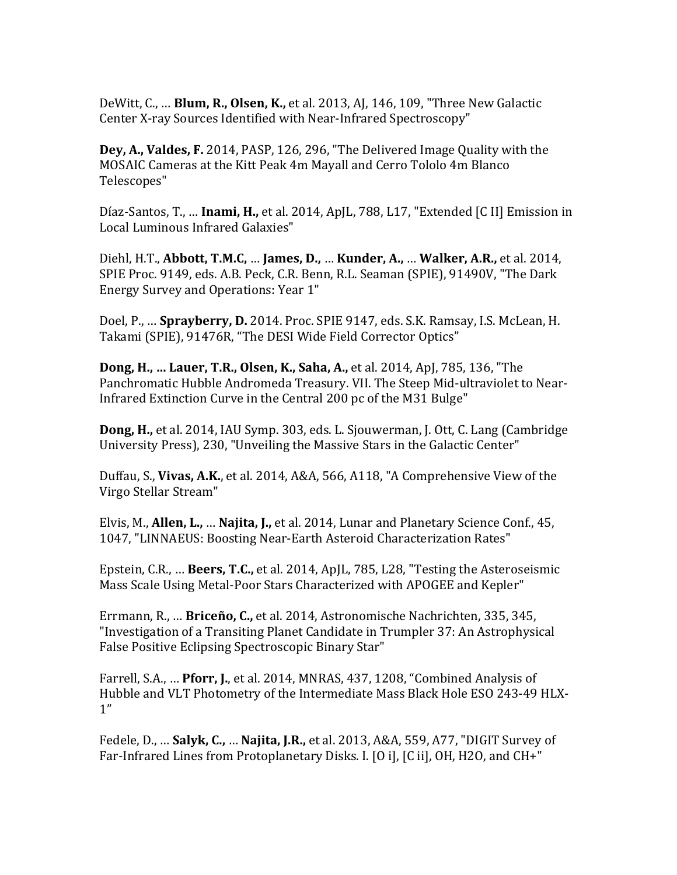DeWitt, C., ... **Blum, R., Olsen, K.,** et al. 2013, AJ, 146, 109, "Three New Galactic Center X-ray Sources Identified with Near-Infrared Spectroscopy"

**Dey, A., Valdes, F.** 2014, PASP, 126, 296, "The Delivered Image Quality with the MOSAIC Cameras at the Kitt Peak 4m Mayall and Cerro Tololo 4m Blanco Telescopes"

Díaz-Santos, T., ... **Inami, H.,** et al. 2014, ApJL, 788, L17, "Extended [C II] Emission in Local Luminous Infrared Galaxies"

Diehl, H.T., **Abbott, T.M.C.** … **James, D., … Kunder, A., … Walker, A.R.**, et al. 2014, SPIE Proc. 9149, eds. A.B. Peck, C.R. Benn, R.L. Seaman (SPIE), 91490V, "The Dark Energy Survey and Operations: Year 1"

Doel, P., ... **Sprayberry, D.** 2014. Proc. SPIE 9147, eds. S.K. Ramsay, I.S. McLean, H. Takami (SPIE), 91476R, "The DESI Wide Field Corrector Optics"

**Dong, H., ... Lauer, T.R., Olsen, K., Saha, A., et al. 2014, ApJ, 785, 136, "The** Panchromatic Hubble Andromeda Treasury. VII. The Steep Mid-ultraviolet to Near-Infrared Extinction Curve in the Central 200 pc of the M31 Bulge"

**Dong, H.,** et al. 2014, IAU Symp. 303, eds. L. Sjouwerman, J. Ott, C. Lang (Cambridge) University Press), 230, "Unveiling the Massive Stars in the Galactic Center"

Duffau, S., Vivas, A.K., et al. 2014, A&A, 566, A118, "A Comprehensive View of the Virgo Stellar Stream" 

Elvis, M., **Allen, L.,** ... **Najita, J.**, et al. 2014, Lunar and Planetary Science Conf., 45, 1047, "LINNAEUS: Boosting Near-Earth Asteroid Characterization Rates"

Epstein, C.R., ... **Beers, T.C.,** et al. 2014, ApJL, 785, L28, "Testing the Asteroseismic Mass Scale Using Metal-Poor Stars Characterized with APOGEE and Kepler"

Errmann, R., ... **Briceño, C.,** et al. 2014, Astronomische Nachrichten, 335, 345, "Investigation of a Transiting Planet Candidate in Trumpler 37: An Astrophysical False Positive Eclipsing Spectroscopic Binary Star"

Farrell, S.A., ... **Pforr, J.**, et al. 2014, MNRAS, 437, 1208, "Combined Analysis of Hubble and VLT Photometry of the Intermediate Mass Black Hole ESO 243-49 HLX-1"

Fedele, D., ... **Salyk, C., ... Najita, J.R.,** et al. 2013, A&A, 559, A77, "DIGIT Survey of Far-Infrared Lines from Protoplanetary Disks. I. [O i], [C ii], OH, H2O, and CH+"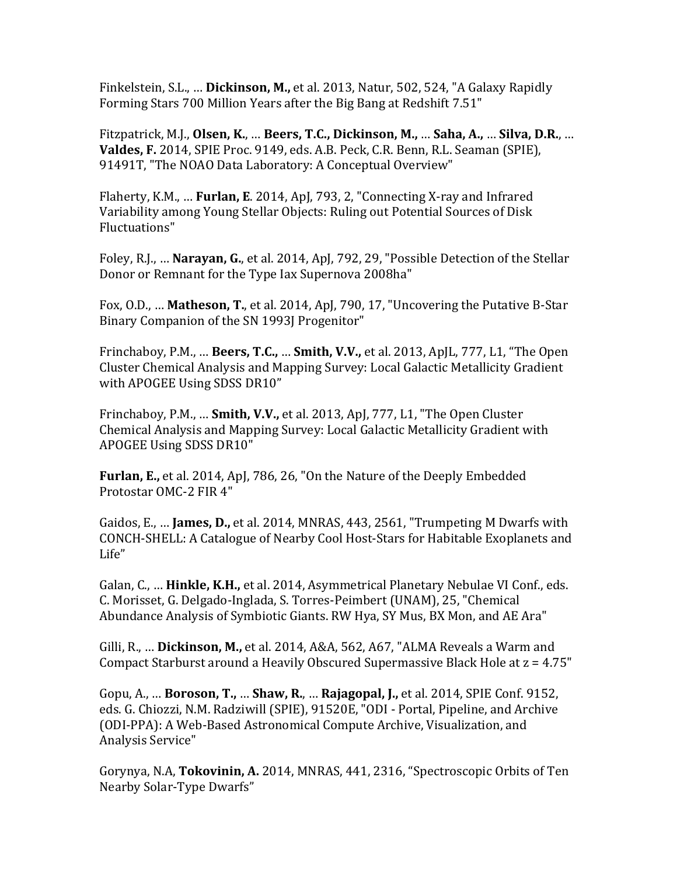Finkelstein, S.L., ... **Dickinson, M.,** et al. 2013, Natur, 502, 524, "A Galaxy Rapidly Forming Stars 700 Million Years after the Big Bang at Redshift 7.51"

Fitzpatrick, M.J., Olsen, K., ... Beers, T.C., Dickinson, M., ... Saha, A., ... Silva, D.R., ... **Valdes, F.** 2014, SPIE Proc. 9149, eds. A.B. Peck, C.R. Benn, R.L. Seaman (SPIE), 91491T. "The NOAO Data Laboratory: A Conceptual Overview"

Flaherty, K.M., ... **Furlan, E.** 2014, ApJ, 793, 2, "Connecting X-ray and Infrared Variability among Young Stellar Objects: Ruling out Potential Sources of Disk Fluctuations"

Foley, R.J., ... Narayan, G., et al. 2014, ApJ, 792, 29, "Possible Detection of the Stellar Donor or Remnant for the Type Iax Supernova 2008ha"

Fox, O.D., ... **Matheson, T.**, et al. 2014, ApJ, 790, 17, "Uncovering the Putative B-Star Binary Companion of the SN 1993J Progenitor"

Frinchaboy, P.M., ... **Beers, T.C., ... Smith, V.V.,** et al. 2013, ApJL, 777, L1, "The Open Cluster Chemical Analysis and Mapping Survey: Local Galactic Metallicity Gradient with APOGEE Using SDSS DR10"

Frinchaboy, P.M., ... **Smith, V.V.,** et al. 2013, ApJ, 777, L1, "The Open Cluster Chemical Analysis and Mapping Survey: Local Galactic Metallicity Gradient with APOGEE Using SDSS DR10"

**Furlan, E.,** et al. 2014, ApJ, 786, 26, "On the Nature of the Deeply Embedded Protostar OMC-2 FIR 4"

Gaidos, E., ... **James, D.,** et al. 2014, MNRAS, 443, 2561, "Trumpeting M Dwarfs with CONCH-SHELL: A Catalogue of Nearby Cool Host-Stars for Habitable Exoplanets and Life"

Galan, C., ... **Hinkle, K.H.,** et al. 2014, Asymmetrical Planetary Nebulae VI Conf., eds. C. Morisset, G. Delgado-Inglada, S. Torres-Peimbert (UNAM), 25, "Chemical Abundance Analysis of Symbiotic Giants. RW Hya, SY Mus, BX Mon, and AE Ara"

Gilli, R., ... Dickinson, M., et al. 2014, A&A, 562, A67, "ALMA Reveals a Warm and Compact Starburst around a Heavily Obscured Supermassive Black Hole at  $z = 4.75"$ 

Gopu, A., ... **Boroson, T., ... Shaw, R., ... Rajagopal, J.,** et al. 2014, SPIE Conf. 9152, eds. G. Chiozzi, N.M. Radziwill (SPIE), 91520E, "ODI - Portal, Pipeline, and Archive (ODI-PPA): A Web-Based Astronomical Compute Archive, Visualization, and Analysis Service" 

Gorynya, N.A, Tokovinin, A. 2014, MNRAS, 441, 2316, "Spectroscopic Orbits of Ten Nearby Solar-Type Dwarfs"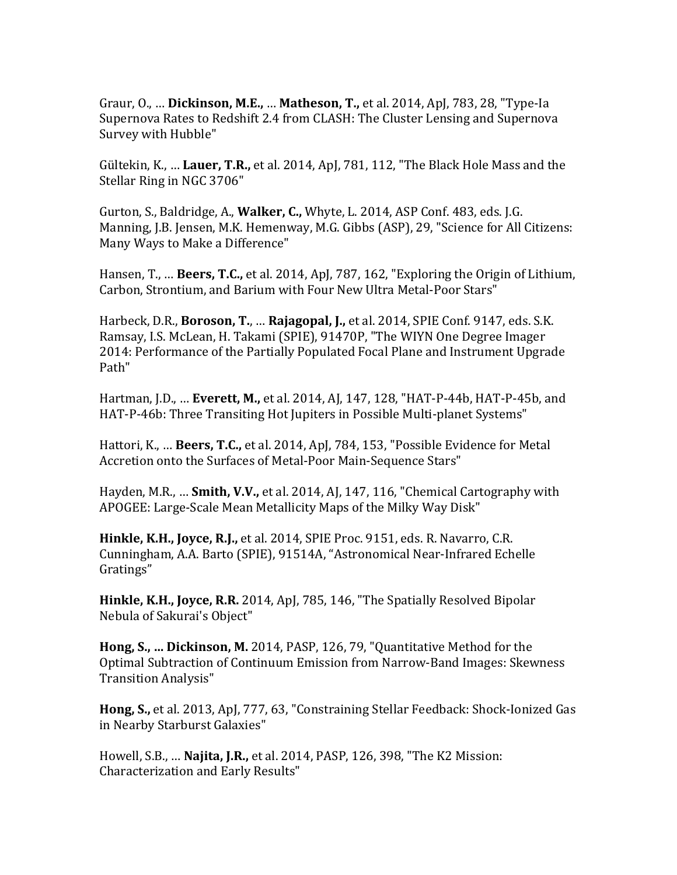Graur, O., ... **Dickinson, M.E., ... Matheson, T.,** et al. 2014, ApJ, 783, 28, "Type-Ia Supernova Rates to Redshift 2.4 from CLASH: The Cluster Lensing and Supernova Survey with Hubble"

Gültekin, K., ... Lauer, T.R., et al. 2014, ApJ, 781, 112, "The Black Hole Mass and the Stellar Ring in NGC 3706"

Gurton, S., Baldridge, A., **Walker, C.,** Whyte, L. 2014, ASP Conf. 483, eds. J.G. Manning, J.B. Jensen, M.K. Hemenway, M.G. Gibbs (ASP), 29, "Science for All Citizens: Many Ways to Make a Difference"

Hansen, T., ... **Beers, T.C.,** et al. 2014, ApJ, 787, 162, "Exploring the Origin of Lithium, Carbon, Strontium, and Barium with Four New Ultra Metal-Poor Stars"

Harbeck, D.R., **Boroson, T., ... Rajagopal, J.,** et al. 2014, SPIE Conf. 9147, eds. S.K. Ramsay, I.S. McLean, H. Takami (SPIE), 91470P, "The WIYN One Degree Imager 2014: Performance of the Partially Populated Focal Plane and Instrument Upgrade Path" 

Hartman, J.D., ... **Everett, M.,** et al. 2014, AJ, 147, 128, "HAT-P-44b, HAT-P-45b, and HAT-P-46b: Three Transiting Hot Jupiters in Possible Multi-planet Systems"

Hattori, K., ... **Beers, T.C.,** et al. 2014, ApJ, 784, 153, "Possible Evidence for Metal Accretion onto the Surfaces of Metal-Poor Main-Sequence Stars"

Hayden, M.R., ... **Smith, V.V.,** et al. 2014, AJ, 147, 116, "Chemical Cartography with APOGEE: Large-Scale Mean Metallicity Maps of the Milky Way Disk"

**Hinkle, K.H., Joyce, R.J.,** et al. 2014, SPIE Proc. 9151, eds. R. Navarro, C.R. Cunningham, A.A. Barto (SPIE), 91514A, "Astronomical Near-Infrared Echelle Gratings"

**Hinkle, K.H., Joyce, R.R.** 2014, ApJ, 785, 146, "The Spatially Resolved Bipolar Nebula of Sakurai's Object"

**Hong, S., ... Dickinson, M.** 2014, PASP, 126, 79, "Quantitative Method for the Optimal Subtraction of Continuum Emission from Narrow-Band Images: Skewness Transition Analysis" 

**Hong, S.,** et al. 2013, ApJ, 777, 63, "Constraining Stellar Feedback: Shock-Ionized Gas in Nearby Starburst Galaxies"

Howell, S.B., ... **Najita, J.R.,** et al. 2014, PASP, 126, 398, "The K2 Mission: Characterization and Early Results"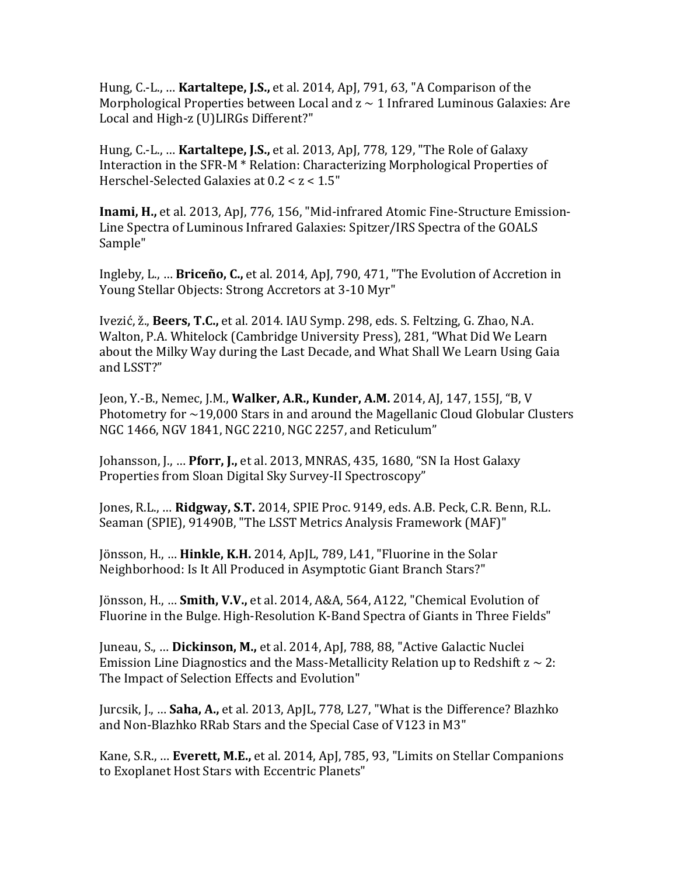Hung, C.-L., ... **Kartaltepe, J.S.,** et al. 2014, ApJ, 791, 63, "A Comparison of the Morphological Properties between Local and  $z \sim 1$  Infrared Luminous Galaxies: Are Local and High-z (U)LIRGs Different?"

Hung, C.-L., ... **Kartaltepe, J.S.,** et al. 2013, ApJ, 778, 129, "The Role of Galaxy Interaction in the  $SFR-M * Relation: Characterizing Morphological Properties of$ Herschel-Selected Galaxies at  $0.2 < z < 1.5$ "

**Inami, H., et al. 2013, ApJ, 776, 156, "Mid-infrared Atomic Fine-Structure Emission-**Line Spectra of Luminous Infrared Galaxies: Spitzer/IRS Spectra of the GOALS Sample"

Ingleby, L., ... **Briceño, C.,** et al. 2014, ApJ, 790, 471, "The Evolution of Accretion in Young Stellar Objects: Strong Accretors at 3-10 Myr"

Ivezić, ž., Beers, T.C., et al. 2014. IAU Symp. 298, eds. S. Feltzing, G. Zhao, N.A. Walton, P.A. Whitelock (Cambridge University Press), 281, "What Did We Learn about the Milky Way during the Last Decade, and What Shall We Learn Using Gaia and LSST?"

Jeon, Y.-B., Nemec, J.M., **Walker, A.R., Kunder, A.M.** 2014, AJ, 147, 155J, "B, V Photometry for  $\sim$  19,000 Stars in and around the Magellanic Cloud Globular Clusters NGC 1466, NGV 1841, NGC 2210, NGC 2257, and Reticulum"

Johansson, J., ... Pforr, J., et al. 2013, MNRAS, 435, 1680, "SN Ia Host Galaxy Properties from Sloan Digital Sky Survey-II Spectroscopy"

Jones, R.L., ... Ridgway, S.T. 2014, SPIE Proc. 9149, eds. A.B. Peck, C.R. Benn, R.L. Seaman (SPIE), 91490B, "The LSST Metrics Analysis Framework (MAF)"

Jönsson, H., ... Hinkle, K.H. 2014, ApJL, 789, L41, "Fluorine in the Solar Neighborhood: Is It All Produced in Asymptotic Giant Branch Stars?"

Jönsson, H., ... **Smith, V.V.,** et al. 2014, A&A, 564, A122, "Chemical Evolution of Fluorine in the Bulge. High-Resolution K-Band Spectra of Giants in Three Fields"

Juneau, S., ... **Dickinson, M.,** et al. 2014, ApJ, 788, 88, "Active Galactic Nuclei Emission Line Diagnostics and the Mass-Metallicity Relation up to Redshift  $z \sim 2$ : The Impact of Selection Effects and Evolution"

Jurcsik, J., ... **Saha, A.,** et al. 2013, ApJL, 778, L27, "What is the Difference? Blazhko and Non-Blazhko RRab Stars and the Special Case of V123 in M3"

Kane, S.R., ... **Everett, M.E.,** et al. 2014, ApJ, 785, 93, "Limits on Stellar Companions to Exoplanet Host Stars with Eccentric Planets"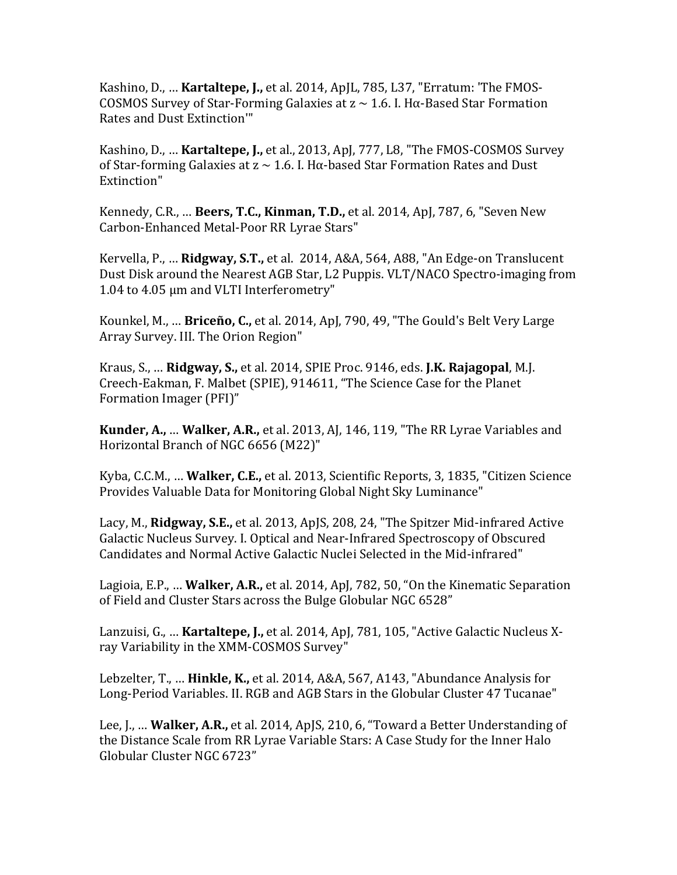Kashino, D., ... **Kartaltepe, J.,** et al. 2014, ApJL, 785, L37, "Erratum: 'The FMOS-COSMOS Survey of Star-Forming Galaxies at  $z \sim 1.6$ . I. H $\alpha$ -Based Star Formation Rates and Dust Extinction'"

Kashino, D., ... **Kartaltepe, J.,** et al., 2013, ApJ, 777, L8, "The FMOS-COSMOS Survey of Star-forming Galaxies at  $z \sim 1.6$ . I. Hα-based Star Formation Rates and Dust Extinction"

Kennedy, C.R., ... **Beers, T.C., Kinman, T.D.,** et al. 2014, ApJ, 787, 6, "Seven New Carbon-Enhanced Metal-Poor RR Lyrae Stars"

Kervella, P., ... **Ridgway, S.T.,** et al. 2014, A&A, 564, A88, "An Edge-on Translucent Dust Disk around the Nearest AGB Star, L2 Puppis. VLT/NACO Spectro-imaging from 1.04 to 4.05 μm and VLTI Interferometry"

Kounkel, M., ... **Briceño, C.,** et al. 2014, ApJ, 790, 49, "The Gould's Belt Very Large Array Survey. III. The Orion Region"

Kraus, S., ... **Ridgway, S.,** et al. 2014, SPIE Proc. 9146, eds. **J.K. Rajagopal**, M.J. Creech-Eakman, F. Malbet (SPIE), 914611, "The Science Case for the Planet Formation Imager (PFI)"

**Kunder, A., ... Walker, A.R.,** et al. 2013, AJ, 146, 119, "The RR Lyrae Variables and Horizontal Branch of NGC 6656 (M22)"

Kyba, C.C.M., ... **Walker, C.E.,** et al. 2013, Scientific Reports, 3, 1835, "Citizen Science Provides Valuable Data for Monitoring Global Night Sky Luminance"

Lacy, M., Ridgway, S.E., et al. 2013, ApJS, 208, 24, "The Spitzer Mid-infrared Active Galactic Nucleus Survey. I. Optical and Near-Infrared Spectroscopy of Obscured Candidates and Normal Active Galactic Nuclei Selected in the Mid-infrared"

Lagioia, E.P., ... **Walker, A.R.,** et al. 2014, Apl. 782, 50, "On the Kinematic Separation of Field and Cluster Stars across the Bulge Globular NGC 6528"

Lanzuisi, G., ... **Kartaltepe, J.,** et al. 2014, ApJ, 781, 105, "Active Galactic Nucleus Xray Variability in the XMM-COSMOS Survey"

Lebzelter, T., ... **Hinkle, K.,** et al. 2014, A&A, 567, A143, "Abundance Analysis for Long-Period Variables. II. RGB and AGB Stars in the Globular Cluster 47 Tucanae"

Lee, J., ... **Walker, A.R.,** et al. 2014, ApJS, 210, 6, "Toward a Better Understanding of the Distance Scale from RR Lyrae Variable Stars: A Case Study for the Inner Halo Globular Cluster NGC 6723"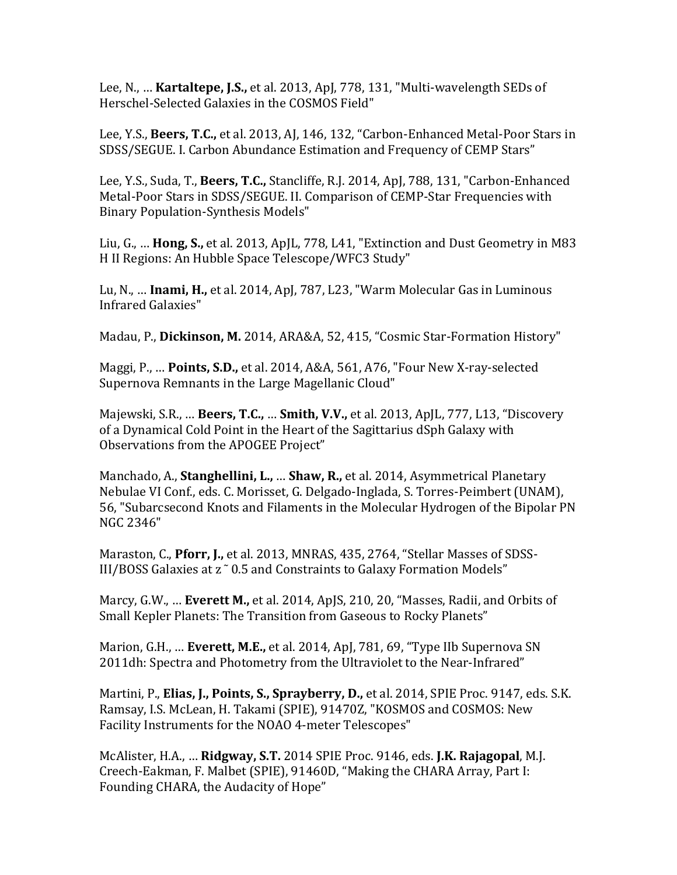Lee, N., ... **Kartaltepe, J.S.,** et al. 2013, ApJ, 778, 131, "Multi-wavelength SEDs of Herschel-Selected Galaxies in the COSMOS Field"

Lee, Y.S., Beers, T.C., et al. 2013, AJ, 146, 132, "Carbon-Enhanced Metal-Poor Stars in SDSS/SEGUE. I. Carbon Abundance Estimation and Frequency of CEMP Stars"

Lee, Y.S., Suda, T., Beers, T.C., Stancliffe, R.J. 2014, ApJ, 788, 131, "Carbon-Enhanced Metal-Poor Stars in SDSS/SEGUE. II. Comparison of CEMP-Star Frequencies with Binary Population-Synthesis Models"

Liu, G., ... **Hong, S.,** et al. 2013, ApJL, 778, L41, "Extinction and Dust Geometry in M83 H II Regions: An Hubble Space Telescope/WFC3 Study"

Lu, N., ... **Inami, H.,** et al. 2014, ApJ, 787, L23, "Warm Molecular Gas in Luminous Infrared Galaxies"

Madau, P., Dickinson, M. 2014, ARA&A, 52, 415, "Cosmic Star-Formation History"

Maggi, P., ... **Points, S.D.,** et al. 2014, A&A, 561, A76, "Four New X-ray-selected Supernova Remnants in the Large Magellanic Cloud"

Majewski, S.R., ... **Beers, T.C., ... Smith, V.V.,** et al. 2013, ApJL, 777, L13, "Discovery of a Dynamical Cold Point in the Heart of the Sagittarius dSph Galaxy with Observations from the APOGEE Project"

Manchado, A., **Stanghellini, L., ... Shaw, R.,** et al. 2014, Asymmetrical Planetary Nebulae VI Conf., eds. C. Morisset, G. Delgado-Inglada, S. Torres-Peimbert (UNAM), 56, "Subarcsecond Knots and Filaments in the Molecular Hydrogen of the Bipolar PN NGC 2346" 

Maraston, C., Pforr, J., et al. 2013, MNRAS, 435, 2764, "Stellar Masses of SDSS-III/BOSS Galaxies at z ~ 0.5 and Constraints to Galaxy Formation Models"

Marcy, G.W., ... **Everett M.,** et al. 2014, ApJS, 210, 20, "Masses, Radii, and Orbits of Small Kepler Planets: The Transition from Gaseous to Rocky Planets"

Marion, G.H., ... **Everett, M.E.,** et al. 2014, ApJ, 781, 69, "Type IIb Supernova SN 2011dh: Spectra and Photometry from the Ultraviolet to the Near-Infrared"

Martini, P., **Elias, J., Points, S., Sprayberry, D.,** et al. 2014, SPIE Proc. 9147, eds. S.K. Ramsay, I.S. McLean, H. Takami (SPIE), 91470Z, "KOSMOS and COSMOS: New Facility Instruments for the NOAO 4-meter Telescopes"

McAlister, H.A., ... Ridgway, S.T. 2014 SPIE Proc. 9146, eds. J.K. Rajagopal, M.J. Creech-Eakman, F. Malbet (SPIE), 91460D, "Making the CHARA Array, Part I: Founding CHARA, the Audacity of Hope"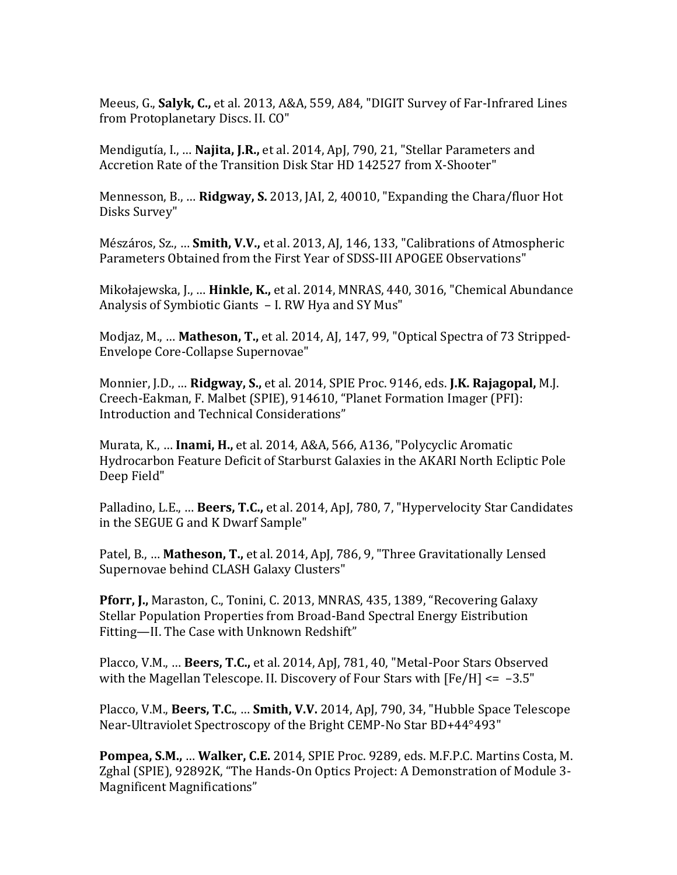Meeus, G., Salyk, C., et al. 2013, A&A, 559, A84, "DIGIT Survey of Far-Infrared Lines from Protoplanetary Discs. II. CO"

Mendigutía, I., ... **Najita, J.R.,** et al. 2014, ApJ, 790, 21, "Stellar Parameters and Accretion Rate of the Transition Disk Star HD 142527 from X-Shooter"

Mennesson, B., ... **Ridgway, S.** 2013, [AI, 2, 40010, "Expanding the Chara/fluor Hot Disks Survey"

Mészáros, Sz., ... **Smith, V.V.,** et al. 2013, AJ, 146, 133, "Calibrations of Atmospheric Parameters Obtained from the First Year of SDSS-III APOGEE Observations"

Mikołajewska, J., ... **Hinkle, K.,** et al. 2014, MNRAS, 440, 3016, "Chemical Abundance Analysis of Symbiotic Giants - I. RW Hya and SY Mus"

Modjaz, M., ... **Matheson, T.,** et al. 2014, AJ, 147, 99, "Optical Spectra of 73 Stripped-Envelope Core-Collapse Supernovae"

Monnier, J.D., ... **Ridgway, S.,** et al. 2014, SPIE Proc. 9146, eds. **J.K. Rajagopal,** M.J. Creech-Eakman, F. Malbet (SPIE), 914610, "Planet Formation Imager (PFI): Introduction and Technical Considerations"

Murata, K., ... **Inami, H.,** et al. 2014, A&A, 566, A136, "Polycyclic Aromatic Hydrocarbon Feature Deficit of Starburst Galaxies in the AKARI North Ecliptic Pole Deep Field"

Palladino, L.E., ... **Beers, T.C.,** et al. 2014, ApJ, 780, 7, "Hypervelocity Star Candidates in the SEGUE G and K Dwarf Sample"

Patel, B., ... **Matheson, T.,** et al. 2014, ApJ, 786, 9, "Three Gravitationally Lensed Supernovae behind CLASH Galaxy Clusters"

**Pforr, J., Maraston, C., Tonini, C. 2013, MNRAS, 435, 1389, "Recovering Galaxy** Stellar Population Properties from Broad-Band Spectral Energy Eistribution Fitting-II. The Case with Unknown Redshift"

Placco, V.M., ... **Beers, T.C.,** et al. 2014, ApJ, 781, 40, "Metal-Poor Stars Observed with the Magellan Telescope. II. Discovery of Four Stars with  $[Fe/H] \le -3.5"$ 

Placco, V.M., Beers, T.C., ... Smith, V.V. 2014, ApJ, 790, 34, "Hubble Space Telescope Near-Ultraviolet Spectroscopy of the Bright CEMP-No Star BD+44°493"

**Pompea, S.M., ... Walker, C.E.** 2014, SPIE Proc. 9289, eds. M.F.P.C. Martins Costa, M. Zghal (SPIE), 92892K, "The Hands-On Optics Project: A Demonstration of Module 3-Magnificent Magnifications"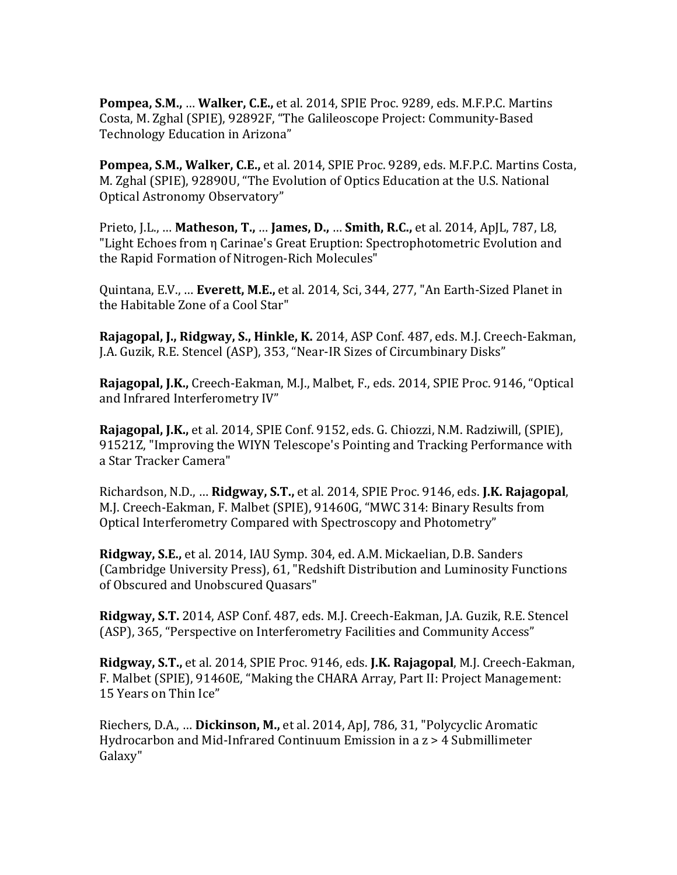Pompea, S.M., ... Walker, C.E., et al. 2014, SPIE Proc. 9289, eds. M.F.P.C. Martins Costa, M. Zghal (SPIE), 92892F, "The Galileoscope Project: Community-Based Technology Education in Arizona"

**Pompea, S.M., Walker, C.E.,** et al. 2014, SPIE Proc. 9289, eds. M.F.P.C. Martins Costa, M. Zghal (SPIE), 92890U, "The Evolution of Optics Education at the U.S. National Optical Astronomy Observatory"

Prieto, J.L., ... **Matheson, T., ... James, D., ... Smith, R.C.,** et al. 2014, ApJL, 787, L8, "Light Echoes from  $\eta$  Carinae's Great Eruption: Spectrophotometric Evolution and the Rapid Formation of Nitrogen-Rich Molecules"

Quintana, E.V., ... **Everett, M.E.,** et al. 2014, Sci, 344, 277, "An Earth-Sized Planet in the Habitable Zone of a Cool Star"

**Rajagopal, J., Ridgway, S., Hinkle, K.** 2014, ASP Conf. 487, eds. M.J. Creech-Eakman, J.A. Guzik, R.E. Stencel (ASP), 353, "Near-IR Sizes of Circumbinary Disks"

Rajagopal, J.K., Creech-Eakman, M.J., Malbet, F., eds. 2014, SPIE Proc. 9146, "Optical and Infrared Interferometry IV"

**Rajagopal, J.K.,** et al. 2014, SPIE Conf. 9152, eds. G. Chiozzi, N.M. Radziwill, (SPIE), 91521Z, "Improving the WIYN Telescope's Pointing and Tracking Performance with a Star Tracker Camera" 

Richardson, N.D., ... Ridgway, S.T., et al. 2014, SPIE Proc. 9146, eds. J.K. Rajagopal, M.J. Creech-Eakman, F. Malbet (SPIE), 91460G, "MWC 314: Binary Results from Optical Interferometry Compared with Spectroscopy and Photometry"

**Ridgway, S.E.,** et al. 2014, IAU Symp. 304, ed. A.M. Mickaelian, D.B. Sanders (Cambridge University Press), 61, "Redshift Distribution and Luminosity Functions of Obscured and Unobscured Ouasars"

**Ridgway, S.T.** 2014, ASP Conf. 487, eds. M.J. Creech-Eakman, J.A. Guzik, R.E. Stencel (ASP), 365, "Perspective on Interferometry Facilities and Community Access"

**Ridgway, S.T.,** et al. 2014, SPIE Proc. 9146, eds. **J.K. Rajagopal**, M.J. Creech-Eakman, F. Malbet (SPIE), 91460E, "Making the CHARA Array, Part II: Project Management: 15 Years on Thin Ice"

Riechers, D.A., ... Dickinson, M., et al. 2014, ApJ, 786, 31, "Polycyclic Aromatic Hydrocarbon and Mid-Infrared Continuum Emission in a  $z > 4$  Submillimeter Galaxy"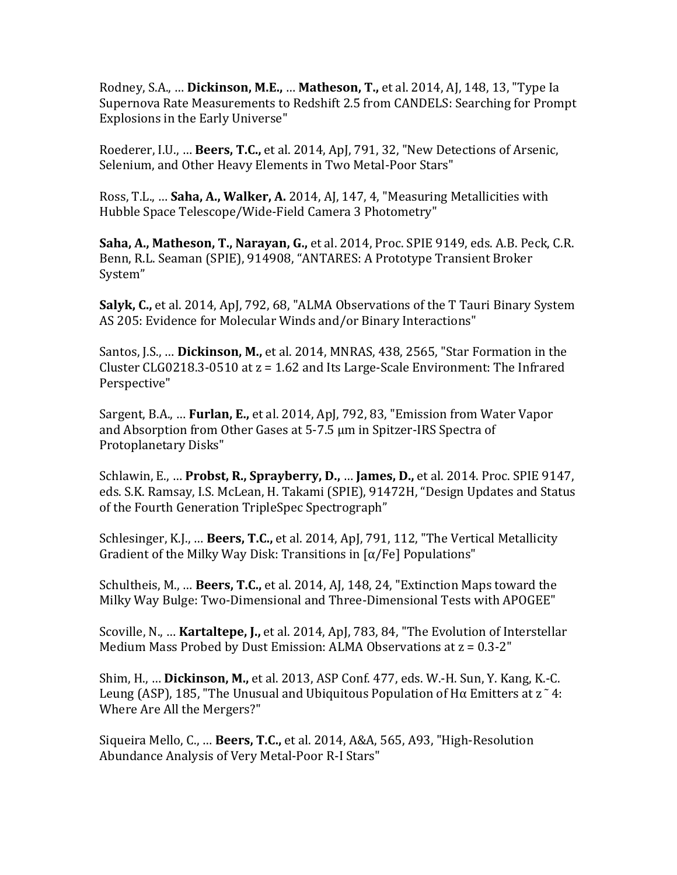Rodney, S.A., ... **Dickinson, M.E., ... Matheson, T.,** et al. 2014, AJ, 148, 13, "Type Ia Supernova Rate Measurements to Redshift 2.5 from CANDELS: Searching for Prompt Explosions in the Early Universe"

Roederer, I.U., ... **Beers, T.C.,** et al. 2014, ApJ, 791, 32, "New Detections of Arsenic, Selenium, and Other Heavy Elements in Two Metal-Poor Stars"

Ross, T.L., ... **Saha, A., Walker, A.** 2014, AJ, 147, 4, "Measuring Metallicities with Hubble Space Telescope/Wide-Field Camera 3 Photometry"

**Saha, A., Matheson, T., Narayan, G., et al. 2014, Proc. SPIE 9149, eds. A.B. Peck, C.R.** Benn, R.L. Seaman (SPIE), 914908, "ANTARES: A Prototype Transient Broker System"

**Salyk, C.,** et al. 2014, ApJ, 792, 68, "ALMA Observations of the T Tauri Binary System AS 205: Evidence for Molecular Winds and/or Binary Interactions"

Santos, J.S., ... Dickinson, M., et al. 2014, MNRAS, 438, 2565, "Star Formation in the Cluster CLG0218.3-0510 at  $z = 1.62$  and Its Large-Scale Environment: The Infrared Perspective"

Sargent, B.A., ... Furlan, E., et al. 2014, ApJ, 792, 83, "Emission from Water Vapor and Absorption from Other Gases at 5-7.5 µm in Spitzer-IRS Spectra of Protoplanetary Disks"

Schlawin, E., ... **Probst, R., Sprayberry, D., ... James, D.,** et al. 2014. Proc. SPIE 9147, eds. S.K. Ramsay, I.S. McLean, H. Takami (SPIE), 91472H, "Design Updates and Status of the Fourth Generation TripleSpec Spectrograph"

Schlesinger, K.J., ... **Beers, T.C.,** et al. 2014, ApJ, 791, 112, "The Vertical Metallicity Gradient of the Milky Way Disk: Transitions in  $\lceil \alpha / \text{Fe} \rceil$  Populations"

Schultheis, M., ... **Beers, T.C.**, et al. 2014, AJ, 148, 24, "Extinction Maps toward the Milky Way Bulge: Two-Dimensional and Three-Dimensional Tests with APOGEE"

Scoville, N., ... **Kartaltepe, J.,** et al. 2014, ApJ, 783, 84, "The Evolution of Interstellar Medium Mass Probed by Dust Emission: ALMA Observations at  $z = 0.3 - 2$ "

**Shim, H., ... Dickinson, M.,** et al. 2013, ASP Conf. 477, eds. W.-H. Sun, Y. Kang, K.-C. Leung (ASP), 185, "The Unusual and Ubiquitous Population of H $\alpha$  Emitters at z<sup> $\alpha$ </sup> 4: Where Are All the Mergers?"

Siqueira Mello, C., ... Beers, T.C., et al. 2014, A&A, 565, A93, "High-Resolution Abundance Analysis of Very Metal-Poor R-I Stars"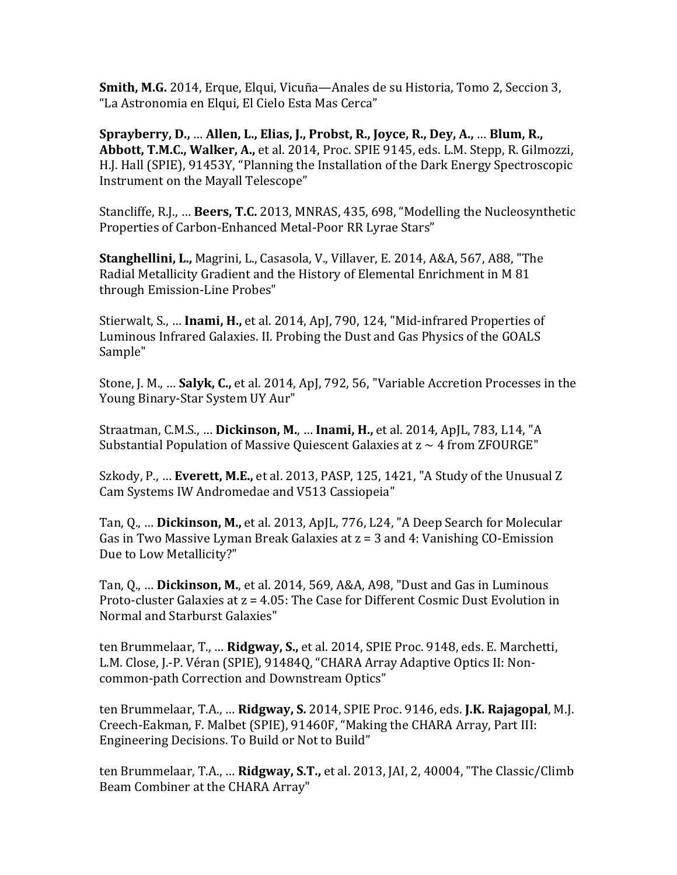**Smith, M.G.** 2014, Erque, Elqui, Vicuña—Anales de su Historia, Tomo 2, Seccion 3, "La Astronomia en Elqui, El Cielo Esta Mas Cerca"

Sprayberry, D., … Allen, L., Elias, J., Probst, R., Joyce, R., Dey, A., … Blum, R., Abbott, T.M.C., Walker, A., et al. 2014, Proc. SPIE 9145, eds. L.M. Stepp, R. Gilmozzi, H.J. Hall (SPIE), 91453Y, "Planning the Installation of the Dark Energy Spectroscopic Instrument on the Mayall Telescope"

Stancliffe, R.J., ... **Beers, T.C.** 2013, MNRAS, 435, 698, "Modelling the Nucleosynthetic Properties of Carbon-Enhanced Metal-Poor RR Lyrae Stars"

**Stanghellini, L.,** Magrini, L., Casasola, V., Villaver, E. 2014, A&A, 567, A88, "The Radial Metallicity Gradient and the History of Elemental Enrichment in M 81 through Emission-Line Probes"

Stierwalt, S., ... **Inami, H.,** et al. 2014, ApJ, 790, 124, "Mid-infrared Properties of Luminous Infrared Galaxies. II. Probing the Dust and Gas Physics of the GOALS Sample"

Stone, J. M., ... **Salyk, C.,** et al. 2014, ApJ, 792, 56, "Variable Accretion Processes in the Young Binary-Star System UY Aur"

Straatman, C.M.S., ... Dickinson, M., ... Inami, H., et al. 2014, ApJL, 783, L14, "A Substantial Population of Massive Ouiescent Galaxies at  $z \sim 4$  from ZFOURGE"

Szkody, P., ... **Everett, M.E.,** et al. 2013, PASP, 125, 1421, "A Study of the Unusual Z Cam Systems IW Andromedae and V513 Cassiopeia"

Tan, Q., ... **Dickinson, M.,** et al. 2013, ApJL, 776, L24, "A Deep Search for Molecular Gas in Two Massive Lyman Break Galaxies at  $z = 3$  and 4: Vanishing CO-Emission Due to Low Metallicity?"

Tan, Q., ... **Dickinson, M.**, et al. 2014, 569, A&A, A98, "Dust and Gas in Luminous Proto-cluster Galaxies at  $z = 4.05$ : The Case for Different Cosmic Dust Evolution in Normal and Starburst Galaxies"

ten Brummelaar, T., ... **Ridgway, S.,** et al. 2014, SPIE Proc. 9148, eds. E. Marchetti, L.M. Close, J.-P. Véran (SPIE), 91484Q, "CHARA Array Adaptive Optics II: Noncommon-path Correction and Downstream Optics"

ten Brummelaar, T.A., ... **Ridgway, S.** 2014, SPIE Proc. 9146, eds. **J.K. Rajagopal**, M.J. Creech-Eakman, F. Malbet (SPIE), 91460F, "Making the CHARA Array, Part III: Engineering Decisions. To Build or Not to Build"

ten Brummelaar, T.A., ... **Ridgway, S.T.,** et al. 2013, JAI, 2, 40004, "The Classic/Climb Beam Combiner at the CHARA Array"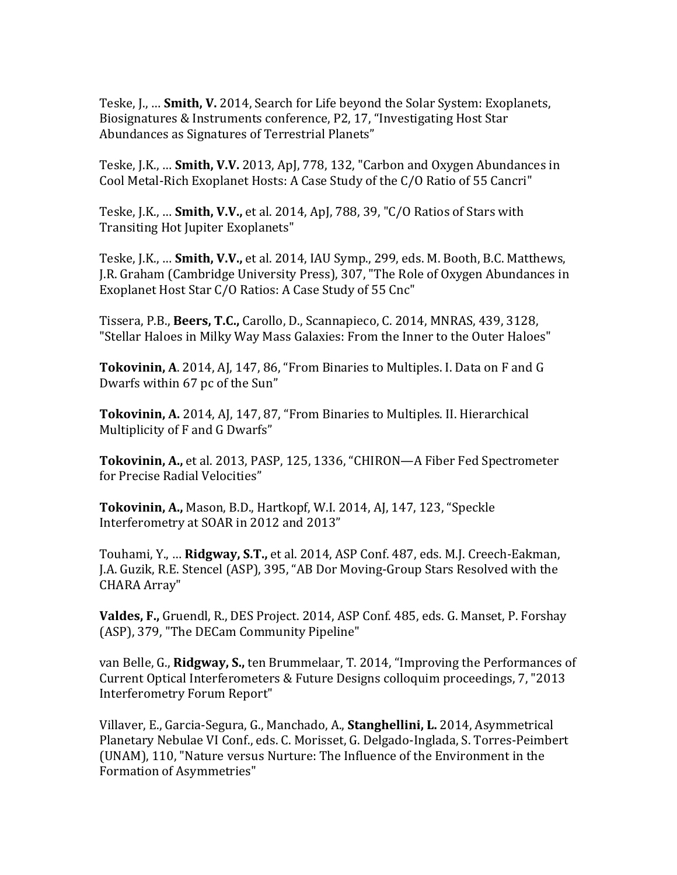Teske, J., ... **Smith, V.** 2014, Search for Life beyond the Solar System: Exoplanets, Biosignatures & Instruments conference, P2, 17, "Investigating Host Star Abundances as Signatures of Terrestrial Planets"

Teske, J.K., ... **Smith, V.V.** 2013, ApJ, 778, 132, "Carbon and Oxygen Abundances in Cool Metal-Rich Exoplanet Hosts: A Case Study of the C/O Ratio of 55 Cancri"

Teske, J.K., ... **Smith, V.V.,** et al. 2014, ApJ, 788, 39, "C/O Ratios of Stars with Transiting Hot Jupiter Exoplanets"

Teske, J.K., ... **Smith, V.V.,** et al. 2014, IAU Symp., 299, eds. M. Booth, B.C. Matthews, J.R. Graham (Cambridge University Press), 307, "The Role of Oxygen Abundances in Exoplanet Host Star C/O Ratios: A Case Study of 55 Cnc"

Tissera, P.B., **Beers, T.C.**, Carollo, D., Scannapieco, C. 2014, MNRAS, 439, 3128, "Stellar Haloes in Milky Way Mass Galaxies: From the Inner to the Outer Haloes"

**Tokovinin, A.** 2014, AJ, 147, 86, "From Binaries to Multiples. I. Data on F and G Dwarfs within 67 pc of the Sun"

**Tokovinin, A.** 2014, AJ, 147, 87, "From Binaries to Multiples. II. Hierarchical Multiplicity of F and G Dwarfs"

**Tokovinin, A., et al. 2013, PASP, 125, 1336, "CHIRON—A Fiber Fed Spectrometer** for Precise Radial Velocities"

**Tokovinin, A., Mason, B.D., Hartkopf, W.I. 2014, AJ, 147, 123, "Speckle** Interferometry at SOAR in 2012 and 2013"

Touhami, Y., ... **Ridgway, S.T.**, et al. 2014, ASP Conf. 487, eds. M.J. Creech-Eakman, J.A. Guzik, R.E. Stencel (ASP), 395, "AB Dor Moving-Group Stars Resolved with the CHARA Array"

**Valdes, F., Gruendl, R., DES Project.** 2014, ASP Conf. 485, eds. G. Manset, P. Forshay (ASP), 379, "The DECam Community Pipeline"

van Belle, G., **Ridgway, S.,** ten Brummelaar, T. 2014, "Improving the Performances of Current Optical Interferometers & Future Designs colloquim proceedings, 7, "2013 Interferometry Forum Report"

Villaver, E., Garcia-Segura, G., Manchado, A., **Stanghellini, L.** 2014, Asymmetrical Planetary Nebulae VI Conf., eds. C. Morisset, G. Delgado-Inglada, S. Torres-Peimbert (UNAM), 110, "Nature versus Nurture: The Influence of the Environment in the Formation of Asymmetries"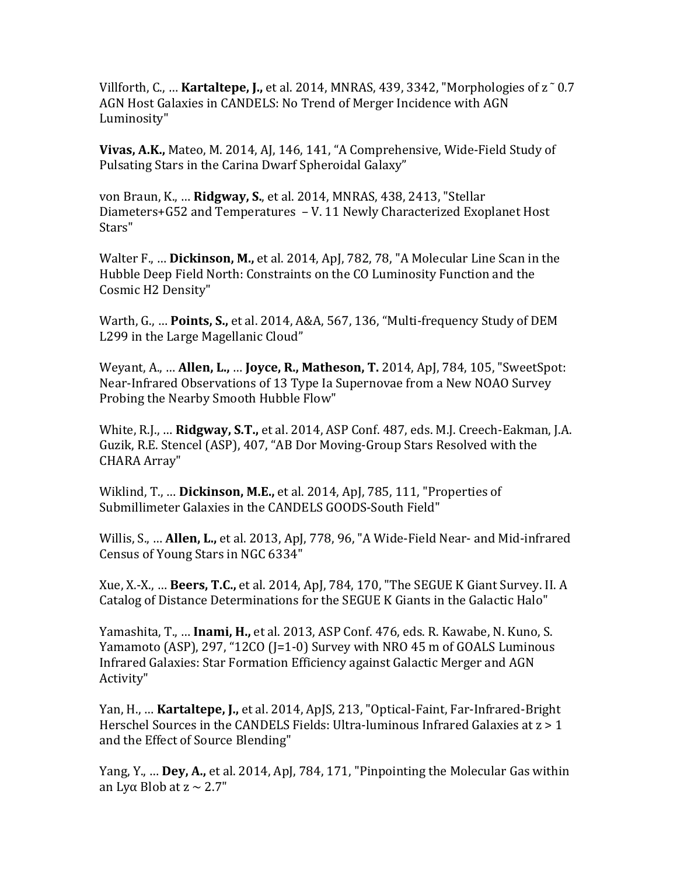Villforth, C., ... **Kartaltepe, J.,** et al. 2014, MNRAS, 439, 3342, "Morphologies of  $z \sim 0.7$ AGN Host Galaxies in CANDELS: No Trend of Merger Incidence with AGN Luminosity"

**Vivas, A.K.,** Mateo, M. 2014, AJ, 146, 141, "A Comprehensive, Wide-Field Study of Pulsating Stars in the Carina Dwarf Spheroidal Galaxy"

von Braun, K., ... **Ridgway, S.**, et al. 2014, MNRAS, 438, 2413, "Stellar Diameters+G52 and Temperatures  $-V.11$  Newly Characterized Exoplanet Host Stars"

Walter F., ... **Dickinson, M.,** et al. 2014, ApJ, 782, 78, "A Molecular Line Scan in the Hubble Deep Field North: Constraints on the CO Luminosity Function and the Cosmic H2 Density"

Warth, G., ... Points, S., et al. 2014, A&A, 567, 136, "Multi-frequency Study of DEM L299 in the Large Magellanic Cloud"

Weyant, A., ... **Allen, L., ... Joyce, R., Matheson, T.** 2014, ApJ, 784, 105, "SweetSpot: Near-Infrared Observations of 13 Type Ia Supernovae from a New NOAO Survey Probing the Nearby Smooth Hubble Flow"

White, R.J., ... **Ridgway, S.T.,** et al. 2014, ASP Conf. 487, eds. M.J. Creech-Eakman, J.A. Guzik, R.E. Stencel (ASP), 407, "AB Dor Moving-Group Stars Resolved with the CHARA Array"

Wiklind, T., ... Dickinson, M.E., et al. 2014, ApJ, 785, 111, "Properties of Submillimeter Galaxies in the CANDELS GOODS-South Field"

Willis, S., ... **Allen, L.,** et al. 2013, ApJ, 778, 96, "A Wide-Field Near- and Mid-infrared Census of Young Stars in NGC 6334"

Xue, X.-X., ... **Beers, T.C.,** et al. 2014, ApJ, 784, 170, "The SEGUE K Giant Survey. II. A Catalog of Distance Determinations for the SEGUE K Giants in the Galactic Halo"

Yamashita, T., ... **Inami, H.,** et al. 2013, ASP Conf. 476, eds. R. Kawabe, N. Kuno, S. Yamamoto (ASP), 297, "12CO (J=1-0) Survey with NRO 45 m of GOALS Luminous Infrared Galaxies: Star Formation Efficiency against Galactic Merger and AGN Activity"

Yan, H., ... **Kartaltepe, J.,** et al. 2014, ApJS, 213, "Optical-Faint, Far-Infrared-Bright Herschel Sources in the CANDELS Fields: Ultra-luminous Infrared Galaxies at  $z > 1$ and the Effect of Source Blending"

Yang, Y., ... **Dey, A.,** et al. 2014, ApJ, 784, 171, "Pinpointing the Molecular Gas within an Lyα Blob at  $z \sim 2.7"$